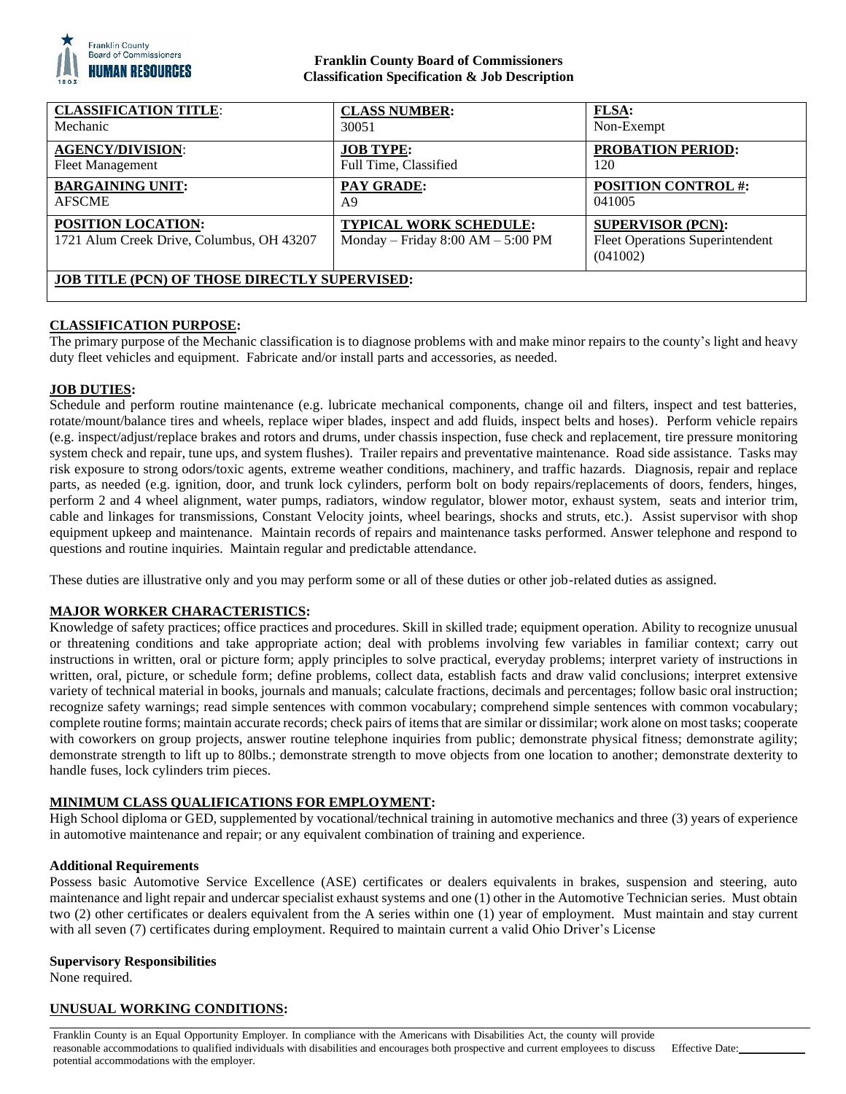

## **Franklin County Board of Commissioners Classification Specification & Job Description**

| <b>CLASSIFICATION TITLE:</b>                                           | <b>CLASS NUMBER:</b>                                          | <b>FLSA:</b>                                                                   |
|------------------------------------------------------------------------|---------------------------------------------------------------|--------------------------------------------------------------------------------|
| Mechanic                                                               | 30051                                                         | Non-Exempt                                                                     |
| <b>AGENCY/DIVISION:</b>                                                | <b>JOB TYPE:</b>                                              | <b>PROBATION PERIOD:</b>                                                       |
| <b>Fleet Management</b>                                                | Full Time, Classified                                         | 120                                                                            |
| <b>BARGAINING UNIT:</b>                                                | PAY GRADE:                                                    | <b>POSITION CONTROL #:</b>                                                     |
| <b>AFSCME</b>                                                          | A9                                                            | 041005                                                                         |
| <b>POSITION LOCATION:</b><br>1721 Alum Creek Drive, Columbus, OH 43207 | TYPICAL WORK SCHEDULE:<br>Monday – Friday $8:00 AM - 5:00 PM$ | <b>SUPERVISOR (PCN):</b><br><b>Fleet Operations Superintendent</b><br>(041002) |
| <b>JOB TITLE (PCN) OF THOSE DIRECTLY SUPERVISED:</b>                   |                                                               |                                                                                |

# **CLASSIFICATION PURPOSE:**

The primary purpose of the Mechanic classification is to diagnose problems with and make minor repairs to the county's light and heavy duty fleet vehicles and equipment. Fabricate and/or install parts and accessories, as needed.

### **JOB DUTIES:**

Schedule and perform routine maintenance (e.g. lubricate mechanical components, change oil and filters, inspect and test batteries, rotate/mount/balance tires and wheels, replace wiper blades, inspect and add fluids, inspect belts and hoses). Perform vehicle repairs (e.g. inspect/adjust/replace brakes and rotors and drums, under chassis inspection, fuse check and replacement, tire pressure monitoring system check and repair, tune ups, and system flushes). Trailer repairs and preventative maintenance. Road side assistance. Tasks may risk exposure to strong odors/toxic agents, extreme weather conditions, machinery, and traffic hazards. Diagnosis, repair and replace parts, as needed (e.g. ignition, door, and trunk lock cylinders, perform bolt on body repairs/replacements of doors, fenders, hinges, perform 2 and 4 wheel alignment, water pumps, radiators, window regulator, blower motor, exhaust system, seats and interior trim, cable and linkages for transmissions, Constant Velocity joints, wheel bearings, shocks and struts, etc.). Assist supervisor with shop equipment upkeep and maintenance. Maintain records of repairs and maintenance tasks performed. Answer telephone and respond to questions and routine inquiries. Maintain regular and predictable attendance.

These duties are illustrative only and you may perform some or all of these duties or other job-related duties as assigned.

### **MAJOR WORKER CHARACTERISTICS:**

Knowledge of safety practices; office practices and procedures. Skill in skilled trade; equipment operation. Ability to recognize unusual or threatening conditions and take appropriate action; deal with problems involving few variables in familiar context; carry out instructions in written, oral or picture form; apply principles to solve practical, everyday problems; interpret variety of instructions in written, oral, picture, or schedule form; define problems, collect data, establish facts and draw valid conclusions; interpret extensive variety of technical material in books, journals and manuals; calculate fractions, decimals and percentages; follow basic oral instruction; recognize safety warnings; read simple sentences with common vocabulary; comprehend simple sentences with common vocabulary; complete routine forms; maintain accurate records; check pairs of items that are similar or dissimilar; work alone on most tasks; cooperate with coworkers on group projects, answer routine telephone inquiries from public; demonstrate physical fitness; demonstrate agility; demonstrate strength to lift up to 80lbs.; demonstrate strength to move objects from one location to another; demonstrate dexterity to handle fuses, lock cylinders trim pieces.

### **MINIMUM CLASS QUALIFICATIONS FOR EMPLOYMENT:**

High School diploma or GED, supplemented by vocational/technical training in automotive mechanics and three (3) years of experience in automotive maintenance and repair; or any equivalent combination of training and experience.

### **Additional Requirements**

Possess basic Automotive Service Excellence (ASE) certificates or dealers equivalents in brakes, suspension and steering, auto maintenance and light repair and undercar specialist exhaust systems and one (1) other in the Automotive Technician series. Must obtain two (2) other certificates or dealers equivalent from the A series within one (1) year of employment. Must maintain and stay current with all seven (7) certificates during employment. Required to maintain current a valid Ohio Driver's License

#### **Supervisory Responsibilities**

None required.

### **UNUSUAL WORKING CONDITIONS:**